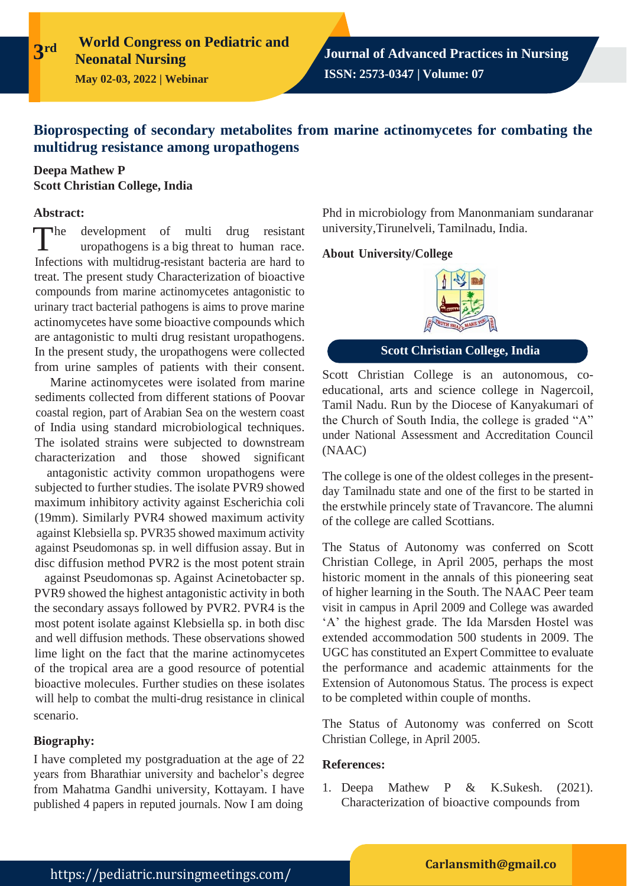# **Bioprospecting of secondary metabolites from marine actinomycetes for combating the multidrug resistance among uropathogens**

## **Deepa Mathew P Scott Christian College, India**

#### **Abstract:**

**3**

 $\blacksquare$ development of multi drug resistant uropathogens is a big threat to human race. Infections with multidrug-resistant bacteria are hard to treat. The present study Characterization of bioactive compounds from marine actinomycetes antagonistic to urinary tract bacterial pathogens is aims to prove marine actinomycetes have some bioactive compounds which are antagonistic to multi drug resistant uropathogens. In the present study, the uropathogens were collected from urine samples of patients with their consent.

Marine actinomycetes were isolated from marine sediments collected from different stations of Poovar coastal region, part of Arabian Sea on the western coast of India using standard microbiological techniques. The isolated strains were subjected to downstream characterization and those showed significant

antagonistic activity common uropathogens were subjected to further studies. The isolate PVR9 showed maximum inhibitory activity against Escherichia coli (19mm). Similarly PVR4 showed maximum activity against Klebsiella sp. PVR35 showed maximum activity against Pseudomonas sp. in well diffusion assay. But in disc diffusion method PVR2 is the most potent strain

against Pseudomonas sp. Against Acinetobacter sp. PVR9 showed the highest antagonistic activity in both the secondary assays followed by PVR2. PVR4 is the most potent isolate against Klebsiella sp. in both disc and well diffusion methods. These observations showed lime light on the fact that the marine actinomycetes of the tropical area are a good resource of potential bioactive molecules. Further studies on these isolates will help to combat the multi-drug resistance in clinical scenario.

### **Biography:**

I have completed my postgraduation at the age of 22 years from Bharathiar university and bachelor's degree from Mahatma Gandhi university, Kottayam. I have published 4 papers in reputed journals. Now I am doing

Phd in microbiology from Manonmaniam sundaranar university,Tirunelveli, Tamilnadu, India.

### **About University/College**



**Scott Christian College, India**

Scott Christian College is an autonomous, coeducational, arts and science college in Nagercoil, Tamil Nadu. Run by the Diocese of Kanyakumari of the Church of South India, the college is graded "A" under National Assessment and Accreditation Council (NAAC)

The college is one of the oldest colleges in the presentday Tamilnadu state and one of the first to be started in the erstwhile princely state of Travancore. The alumni of the college are called Scottians.

The Status of Autonomy was conferred on Scott Christian College, in April 2005, perhaps the most historic moment in the annals of this pioneering seat of higher learning in the South. The NAAC Peer team visit in campus in April 2009 and College was awarded 'A' the highest grade. The Ida Marsden Hostel was extended accommodation 500 students in 2009. The UGC has constituted an Expert Committee to evaluate the performance and academic attainments for the Extension of Autonomous Status. The process is expect to be completed within couple of months.

The Status of Autonomy was conferred on Scott Christian College, in April 2005.

### **References:**

1. Deepa Mathew P & K.Sukesh. (2021). Characterization of bioactive compounds from